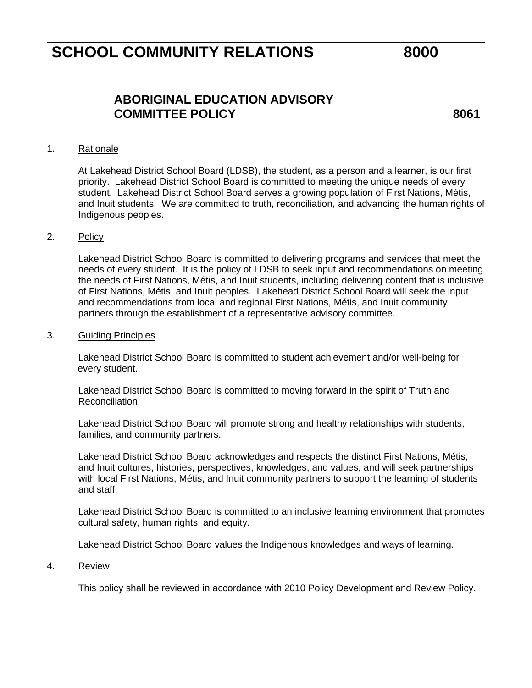## **SCHOOL COMMUNITY RELATIONS** 8000

### **ABORIGINAL EDUCATION ADVISORY COMMITTEE POLICY 8061**

#### 1. Rationale

At Lakehead District School Board (LDSB), the student, as a person and a learner, is our first priority. Lakehead District School Board is committed to meeting the unique needs of every student. Lakehead District School Board serves a growing population of First Nations, Métis, and Inuit students. We are committed to truth, reconciliation, and advancing the human rights of Indigenous peoples.

#### 2. Policy

Lakehead District School Board is committed to delivering programs and services that meet the needs of every student. It is the policy of LDSB to seek input and recommendations on meeting the needs of First Nations, Métis, and Inuit students, including delivering content that is inclusive of First Nations, Métis, and Inuit peoples. Lakehead District School Board will seek the input and recommendations from local and regional First Nations, Métis, and Inuit community partners through the establishment of a representative advisory committee.

#### 3. Guiding Principles

Lakehead District School Board is committed to student achievement and/or well-being for every student.

Lakehead District School Board is committed to moving forward in the spirit of Truth and Reconciliation.

Lakehead District School Board will promote strong and healthy relationships with students, families, and community partners.

Lakehead District School Board acknowledges and respects the distinct First Nations, Métis, and Inuit cultures, histories, perspectives, knowledges, and values, and will seek partnerships with local First Nations, Métis, and Inuit community partners to support the learning of students and staff.

Lakehead District School Board is committed to an inclusive learning environment that promotes cultural safety, human rights, and equity.

Lakehead District School Board values the Indigenous knowledges and ways of learning.

#### 4. Review

This policy shall be reviewed in accordance with 2010 Policy Development and Review Policy.